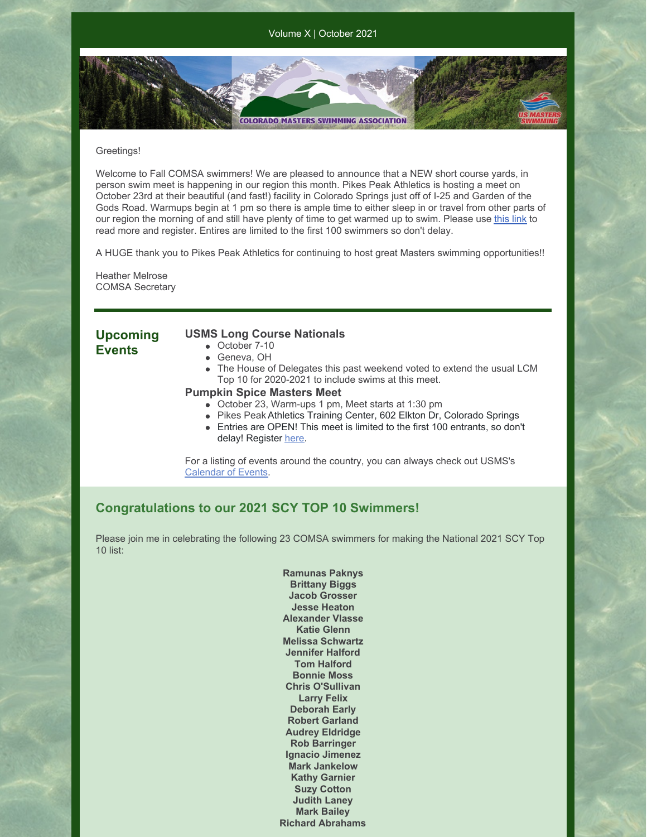Volume X | October 2021

**COLORADO MASTERS SWIMMING ASSOCIATION** 

#### Greetings!

Welcome to Fall COMSA swimmers! We are pleased to announce that a NEW short course yards, in person swim meet is happening in our region this month. Pikes Peak Athletics is hosting a meet on October 23rd at their beautiful (and fast!) facility in Colorado Springs just off of I-25 and Garden of the Gods Road. Warmups begin at 1 pm so there is ample time to either sleep in or travel from other parts of our region the morning of and still have plenty of time to get warmed up to swim. Please use [this](https://www.clubassistant.com/club/meet_information.cfm?c=2500&smid=14131&_ga=2.116387459.404438606.1632610897-78897470.1632514171) link to read more and register. Entires are limited to the first 100 swimmers so don't delay.

A HUGE thank you to Pikes Peak Athletics for continuing to host great Masters swimming opportunities!!

Heather Melrose COMSA Secretary

## **Upcoming Events**

### **USMS Long Course Nationals**

- October 7-10
	- Geneva, OH
	- The House of Delegates this past weekend voted to extend the usual LCM Top 10 for 2020-2021 to include swims at this meet.

#### **Pumpkin Spice Masters Meet**

- October 23, Warm-ups 1 pm, Meet starts at 1:30 pm
- Pikes Peak Athletics Training Center, 602 Elkton Dr, Colorado Springs
- Entries are OPEN! This meet is limited to the first 100 entrants, so don't delay! Register [here](https://www.clubassistant.com/club/meet_information.cfm?c=2500&smid=14131&_ga=2.116387459.404438606.1632610897-78897470.1632514171).

For a listing of events around the country, you can always check out USMS's [Calendar](https://www.usms.org/events) of Events.

## **Congratulations to our 2021 SCY TOP 10 Swimmers!**

Please join me in celebrating the following 23 COMSA swimmers for making the National 2021 SCY Top 10 list:

> **Ramunas Paknys Brittany Biggs Jacob Grosser Jesse Heaton Alexander Vlasse Katie Glenn Melissa Schwartz Jennifer Halford Tom Halford Bonnie Moss Chris O'Sullivan Larry Felix Deborah Early Robert Garland Audrey Eldridge Rob Barringer Ignacio Jimenez Mark Jankelow Kathy Garnier Suzy Cotton Judith Laney Mark Bailey Richard Abrahams**